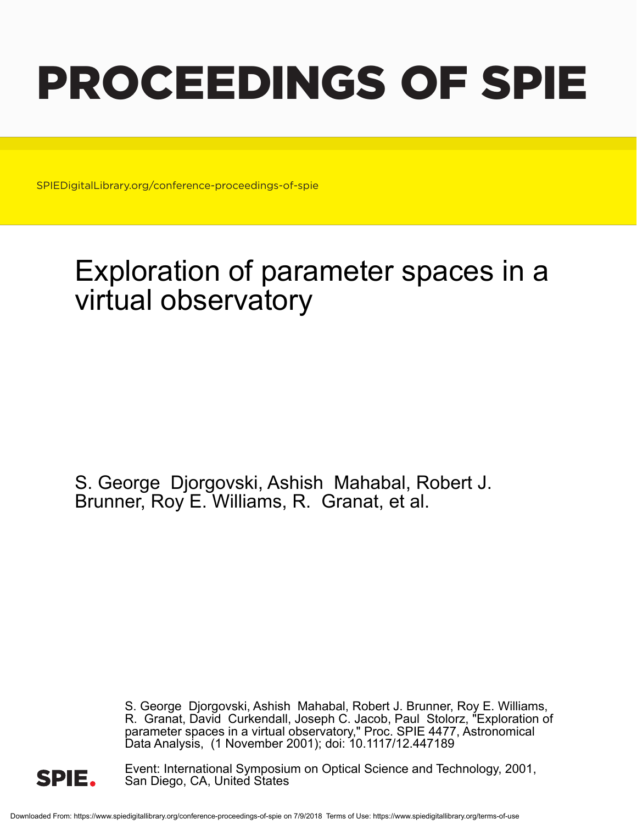# PROCEEDINGS OF SPIE

SPIEDigitalLibrary.org/conference-proceedings-of-spie

# Exploration of parameter spaces in a virtual observatory

S. George Djorgovski, Ashish Mahabal, Robert J. Brunner, Roy E. Williams, R. Granat, et al.

> S. George Djorgovski, Ashish Mahabal, Robert J. Brunner, Roy E. Williams, R. Granat, David Curkendall, Joseph C. Jacob, Paul Stolorz, "Exploration of parameter spaces in a virtual observatory," Proc. SPIE 4477, Astronomical Data Analysis, (1 November 2001); doi: 10.1117/12.447189



Event: International Symposium on Optical Science and Technology, 2001, San Diego, CA, United States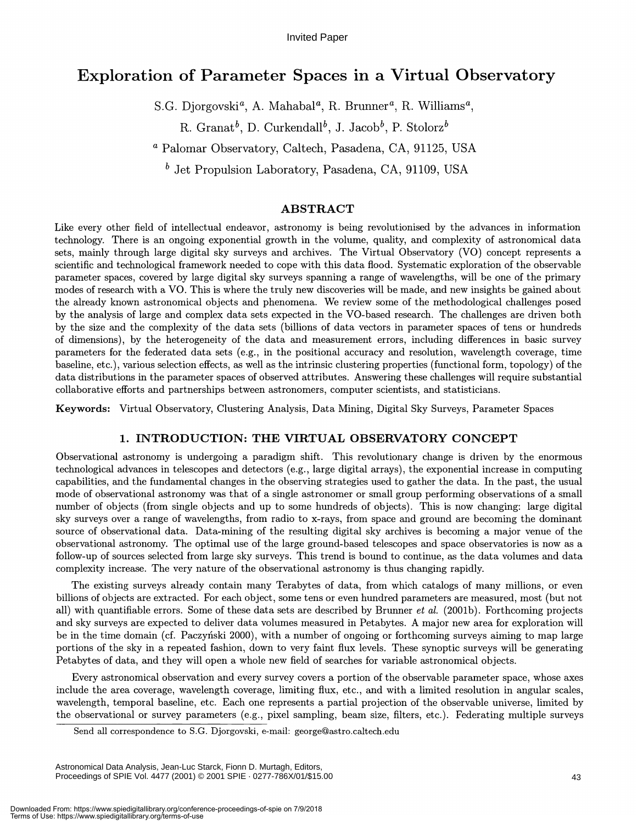## Exploration of Parameter Spaces in a Virtual Observatory

S.G. Djorgovski<sup>a</sup>, A. Mahabal<sup>a</sup>, R. Brunner<sup>a</sup>, R. Williams<sup>a</sup>,

R. Granat<sup>b</sup>, D. Curkendall<sup>b</sup>, J. Jacob<sup>b</sup>, P. Stolorz<sup>b</sup>

a Palomar Observatory, Caltech, Pasadena, CA, 91125, USA

 $<sup>b</sup>$  Jet Propulsion Laboratory, Pasadena, CA, 91109, USA</sup>

#### ABSTRACT

Like every other field of intellectual endeavor, astronomy is being revolutionised by the advances in information technology. There is an ongoing exponential growth in the volume, quality, and complexity of astronomical data sets, mainly through large digital sky surveys and archives. The Virtual Observatory (VO) concept represents a scientific and technological framework needed to cope with this data flood. Systematic exploration of the observable parameter spaces, covered by large digital sky surveys spanning a range of wavelengths, will be one of the primary modes of research with a VO. This is where the truly new discoveries will be made, and new insights be gained about the already known astronomical objects and phenomena. We review some of the methodological challenges posed by the analysis of large and complex data sets expected in the VO-based research. The challenges are driven both by the size and the complexity of the data sets (billions of data vectors in parameter spaces of tens or hundreds of dimensions), by the heterogeneity of the data and measurement errors, including differences in basic survey parameters for the federated data sets (e.g. , in the positional accuracy and resolution, wavelength coverage, time baseline, etc.), various selection effects, as well as the intrinsic clustering properties (functional form, topology) of the data distributions in the parameter spaces of observed attributes. Answering these challenges will require substantial collaborative efforts and partnerships between astronomers, computer scientists, and statisticians.

Keywords: Virtual Observatory, Clustering Analysis, Data Mining, Digital Sky Surveys, Parameter Spaces

#### 1. INTRODUCTION: THE VIRTUAL OBSERVATORY CONCEPT

Observational astronomy is undergoing a paradigm shift. This revolutionary change is driven by the enormous technological advances in telescopes and detectors (e.g. ,large digital arrays) , the exponential increase in computing capabilities, and the fundamental changes in the observing strategies used to gather the data. In the past, the usual mode of observational astronomy was that of a single astronomer or small group performing observations of a small number of objects (from single objects and up to some hundreds of objects). This is now changing: large digital sky surveys over a range of wavelengths, from radio to x-rays, from space and ground are becoming the dominant source of observational data. Data-mining of the resulting digital sky archives is becoming a major venue of the observational astronomy. The optimal use of the large ground-based telescopes and space observatories is now as a follow-up of sources selected from large sky surveys. This trend is bound to continue, as the data volumes and data complexity increase. The very nature of the observational astronomy is thus changing rapidly.

The existing surveys already contain many Terabytes of data, from which catalogs of many millions, or even billions of objects are extracted. For each object, some tens or even hundred parameters are measured, most (but not all) with quantifiable errors. Some of these data sets are described by Brunner et al. (2001b). Forthcoming projects and sky surveys are expected to deliver data volumes measured in Petabytes. A major new area for exploration will be in the time domain (cf. Paczyński 2000), with a number of ongoing or forthcoming surveys aiming to map large portions of the sky in a repeated fashion, down to very faint flux levels. These synoptic surveys will be generating Petabytes of data, and they will open a whole new field of searches for variable astronomical objects.

Every astronomical observation and every survey covers a portion of the observable parameter space, whose axes include the area coverage, wavelength coverage, limiting flux, etc., and with a limited resolution in angular scales, wavelength, temporal baseline, etc. Each one represents a partial projection of the observable universe, limited by the observational or survey parameters (e.g., pixel sampling, beam size, filters, etc.). Federating multiple surveys

Send all correspondence to S.G. Djorgovski, e-mail: george@astro.caltech.edu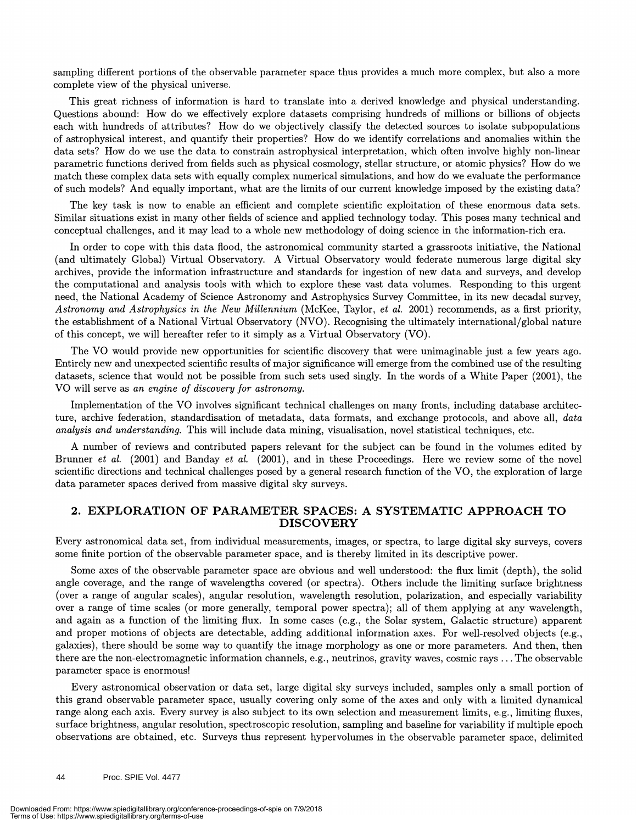sampling different portions of the observable parameter space thus provides a much more complex, but also a more complete view of the physical universe.

This great richness of information is hard to translate into a derived knowledge and physical understanding. Questions abound: How do we effectively explore datasets comprising hundreds of millions or billions of objects each with hundreds of attributes? How do we objectively classify the detected sources to isolate subpopulations of astrophysical interest, and quantify their properties? How do we identify correlations and anomalies within the data sets? How do we use the data to constrain astrophysical interpretation, which often involve highly non-linear parametric functions derived from fields such as physical cosmology, stellar structure, or atomic physics? How do we match these complex data sets with equally complex numerical simulations, and how do we evaluate the performance of such models? And equally important, what are the limits of our current knowledge imposed by the existing data?

The key task is now to enable an efficient and complete scientific exploitation of these enormous data sets. Similar situations exist in many other fields of science and applied technology today. This poses many technical and conceptual challenges, and it may lead to a whole new methodology of doing science in the information-rich era.

In order to cope with this data flood, the astronomical community started a grassroots initiative, the National (and ultimately Global) Virtual Observatory. A Virtual Observatory would federate numerous large digital sky archives, provide the information infrastructure and standards for ingestion of new data and surveys, and develop the computational and analysis tools with which to explore these vast data volumes. Responding to this urgent need, the National Academy of Science Astronomy and Astrophysics Survey Committee, in its new decadal survey, Astronomy and Astrophysics in the New Millennium (McKee, Taylor, et al. 2001) recommends, as a first priority, the establishment of a National Virtual Observatory (NVO). Recognising the ultimately international/global nature of this concept, we will hereafter refer to it simply as a Virtual Observatory (VO).

The VO would provide new opportunities for scientific discovery that were unimaginable just a few years ago. Entirely new and unexpected scientific results of major significance will emerge from the combined use of the resulting datasets, science that would not be possible from such sets used singly. In the words of a White Paper (2001), the VO will serve as an engine of discovery for astronomy.

Implementation of the VO involves significant technical challenges on many fronts, including database architecture, archive federation, standardisation of metadata, data formats, and exchange protocols, and above all, data analysis and understanding. This will include data mining, visualisation, novel statistical techniques, etc.

A number of reviews and contributed papers relevant for the subject can be found in the volumes edited by Brunner et al. (2001) and Banday et al. (2001), and in these Proceedings. Here we review some of the novel scientific directions and technical challenges posed by a general research function of the VO, the exploration of large data parameter spaces derived from massive digital sky surveys.

#### 2. EXPLORATION OF PARAMETER SPACES: A SYSTEMATIC APPROACH TO DISCOVERY

Every astronomical data set, from individual measurements, images, or spectra, to large digital sky surveys, covers some finite portion of the observable parameter space, and is thereby limited in its descriptive power.

Some axes of the observable parameter space are obvious and well understood: the flux limit (depth), the solid angle coverage, and the range of wavelengths covered (or spectra) . Others include the limiting surface brightness (over a range of angular scales) , angular resolution, wavelength resolution, polarization, and especially variability over a range of time scales (or more generally, temporal power spectra) ; all of them applying at any wavelength, and again as a function of the limiting flux. In some cases (e.g., the Solar system, Galactic structure) apparent and proper motions of objects are detectable, adding additional information axes. For well-resolved objects (e.g., galaxies) , there should be some way to quantify the image morphology as one or more parameters. And then, then there are the non-electromagnetic information channels, e.g., neutrinos, gravity waves, cosmic rays ... The observable parameter space is enormous!

Every astronomical observation or data set, large digital sky surveys included, samples only a small portion of this grand observable parameter space, usually covering only some of the axes and only with a limited dynamical range along each axis. Every survey is also subject to its own selection and measurement limits, e.g., limiting fluxes, surface brightness, angular resolution, spectroscopic resolution, sampling and baseline for variability if multiple epoch observations are obtained, etc. Surveys thus represent hypervolumes in the observable parameter space, delimited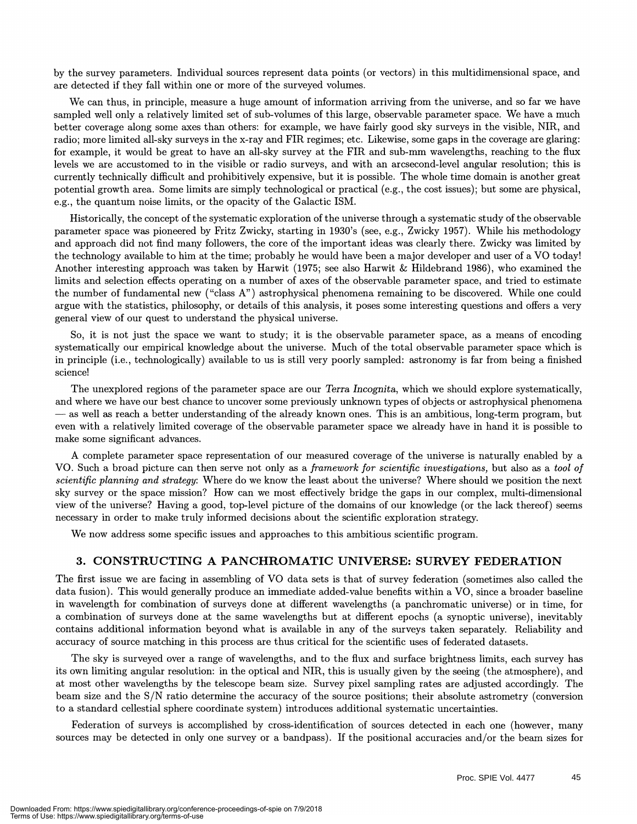by the survey parameters. Individual sources represent data points (or vectors) in this multidimensional space, and are detected if they fall within one or more of the surveyed volumes.

We can thus, in principle, measure a huge amount of information arriving from the universe, and so far we have sampled well only a relatively limited set of sub-volumes of this large, observable parameter space. We have a much better coverage along some axes than others: for example, we have fairly good sky surveys in the visible, NIR, and radio; more limited all-sky surveys in the x-ray and FIR regimes; etc. Likewise, some gaps in the coverage are glaring: for example, it would be great to have an all-sky survey at the FIR and sub-mm wavelengths, reaching to the flux levels we are accustomed to in the visible or radio surveys, and with an arcsecond-level angular resolution; this is currently technically difficult and prohibitively expensive, but it is possible. The whole time domain is another great potential growth area. Some limits are simply technological or practical (e.g. ,the cost issues) ; but some are physical, e.g., the quantum noise limits, or the opacity of the Galactic ISM.

Historically, the concept of the systematic exploration of the universe through a systematic study of the observable parameter space was pioneered by Fritz Zwicky, starting in 1930's (see, e.g., Zwicky 1957). While his methodology and approach did not find many followers, the core of the important ideas was clearly there. Zwicky was limited by the technology available to him at the time; probably he would have been a major developer and user of a VO today! Another interesting approach was taken by Harwit (1975; see also Harwit & Hildebrand 1986), who examined the limits and selection effects operating on a number of axes of the observable parameter space, and tried to estimate the number of fundamental new ("class A" ) astrophysical phenomena remaining to be discovered. While one could argue with the statistics, philosophy, or details of this analysis, it poses some interesting questions and offers a very general view of our quest to understand the physical universe.

So, it is not just the space we want to study; it is the observable parameter space, as a means of encoding systematically our empirical knowledge about the universe. Much of the total observable parameter space which is in principle (i.e. , technologically) available to us is still very poorly sampled: astronomy is far from being a finished science!

The unexplored regions of the parameter space are our Terra Incognita, which we should explore systematically, and where we have our best chance to uncover some previously unknown types of objects or astrophysical phenomena<br>— as well as reach a better understanding of the already known ones. This is an ambitious, long-term program, even with a relatively limited coverage of the observable parameter space we already have in hand it is possible to make some significant advances.

A complete parameter space representation of our measured coverage of the universe is naturally enabled by a VO. Such a broad picture can then serve not only as a *framework for scientific investigations*, but also as a tool of scientific planning and strategy: Where do we know the least about the universe? Where should we position the next sky survey or the space mission? How can we most effectively bridge the gaps in our complex, multi-dimensional view of the universe? Having a good, top-level picture of the domains of our knowledge (or the lack thereof) seems necessary in order to make truly informed decisions about the scientific exploration strategy.

We now address some specific issues and approaches to this ambitious scientific program.

#### 3. CONSTRUCTING A PANCHROMATIC UNIVERSE: SURVEY FEDERATION

The first issue we are facing in assembling of VO data sets is that of survey federation (sometimes also called the data fusion). This would generally produce an immediate added-value benefits within a VO, since a broader baseline in wavelength for combination of surveys done at different wavelengths (a panchromatic universe) or in time, for a combination of surveys done at the same wavelengths but at different epochs (a synoptic universe), inevitably contains additional information beyond what is available in any of the surveys taken separately. Reliability and accuracy of source matching in this process are thus critical for the scientific uses of federated datasets.

The sky is surveyed over a range of wavelengths, and to the flux and surface brightness limits, each survey has its own limiting angular resolution: in the optical and NIR, this is usually given by the seeing (the atmosphere), and at most other wavelengths by the telescope beam size. Survey pixel sampling rates are adjusted accordingly. The beam size and the S/N ratio determine the accuracy of the source positions; their absolute astrometry (conversion to a standard cellestial sphere coordinate system) introduces additional systematic uncertainties.

Federation of surveys is accomplished by cross-identification of sources detected in each one (however, many sources may be detected in only one survey or a bandpass). If the positional accuracies and/or the beam sizes for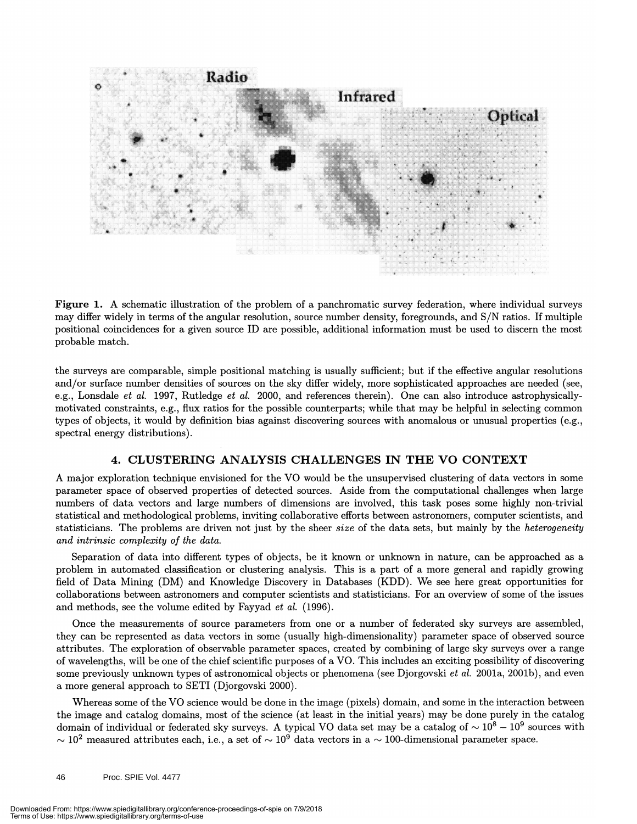

Figure 1. A schematic illustration of the problem of a panchromatic survey federation, where individual surveys may differ widely in terms of the angular resolution, source number density, foregrounds, and S/N ratios. If multiple positional coincidences for a given source ID are possible, additional information must be used to discern the most probable match.

the surveys are comparable, simple positional matching is usually sufficient; but if the effective angular resolutions and/or surface number densities of sources on the sky differ widely, more sophisticated approaches are needed (see, e.g., Lonsdale *et al.* 1997, Rutledge *et al.* 2000, and references therein). One can also introduce astrophysicallymotivated constraints, e.g., flux ratios for the possible counterparts; while that may be helpful in selecting common types of objects, it would by definition bias against discovering sources with anomalous or unusual properties (e.g., spectral energy distributions).

#### 4. CLUSTERING ANALYSIS CHALLENGES IN THE VO CONTEXT

A major exploration technique envisioned for the VO would be the unsupervised clustering of data vectors in some parameter space of observed properties of detected sources. Aside from the computational challenges when large numbers of data vectors and large numbers of dimensions are involved, this task poses some highly non-trivial statistical and methodological problems, inviting collaborative efforts between astronomers, computer scientists, and statisticians. The problems are driven not just by the sheer size of the data sets, but mainly by the *heterogeneity* and intrinsic complexity of the data.

Separation of data into different types of objects, be it known or unknown in nature, can be approached as a problem in automated classification or clustering analysis. This is a part of a more general and rapidly growing field of Data Mining (DM) and Knowledge Discovery in Databases (KDD). We see here great opportunities for collaborations between astronomers and computer scientists and statisticians. For an overview of some of the issues and methods, see the volume edited by Fayyad et al. (1996).

Once the measurements of source parameters from one or a number of federated sky surveys are assembled, they can be represented as data vectors in some (usually high-dimensionality) parameter space of observed source attributes. The exploration of observable parameter spaces, created by combining of large sky surveys over a range of wavelengths, will be one of the chief scientific purposes of a VO. This includes an exciting possibility of discovering some previously unknown types of astronomical objects or phenomena (see Djorgovski *et al.* 2001a, 2001b), and even a more general approach to SETI (Djorgovski 2000).

Whereas some of the VO science would be done in the image (pixels) domain, and some in the interaction between the image and catalog domains, most of the science (at least in the initial years) may be done purely in the catalog domain of individual or federated sky surveys. A typical VO data set may be a catalog of  $\sim 10^8 - 10^9$  sources with  $\sim 10^2$  measured attributes each, i.e., a set of  $\sim 10^9$  data vectors in a  $\sim 100$ -dimensional parameter space.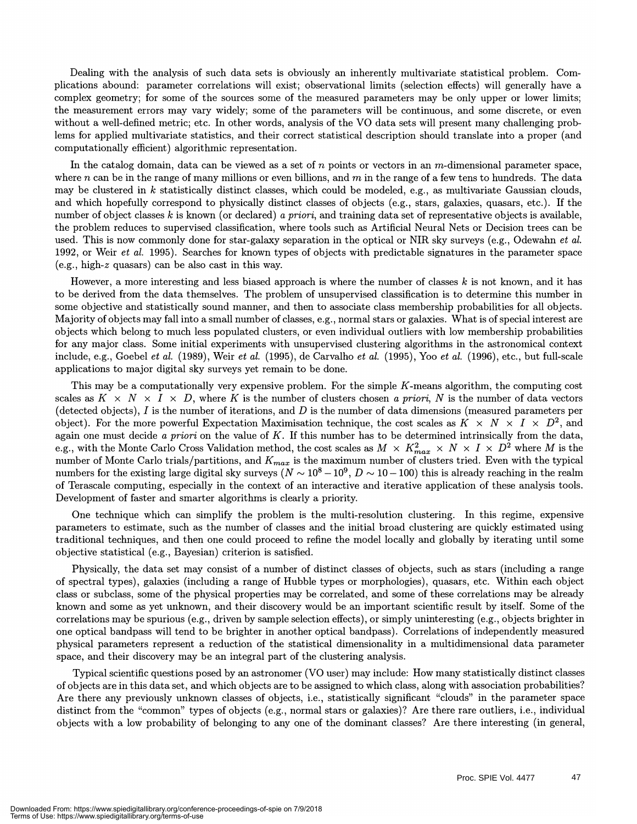Dealing with the analysis of such data sets is obviously an inherently multivariate statistical problem. Cornplications abound: parameter correlations will exist; observational limits (selection effects) will generally have a complex geometry; for some of the sources some of the measured parameters may be only upper or lower limits; the measurement errors may vary widely; some of the parameters will be continuous, and some discrete, or even without a well-defined metric; etc. In other words, analysis of the VO data sets will present many challenging problems for applied multivariate statistics, and their correct statistical description should translate into a proper (and computationally efficient) algorithmic representation.

In the catalog domain, data can be viewed as a set of n points or vectors in an  $m$ -dimensional parameter space, where n can be in the range of many millions or even billions, and  $m$  in the range of a few tens to hundreds. The data may be clustered in  $k$  statistically distinct classes, which could be modeled, e.g., as multivariate Gaussian clouds, and which hopefully correspond to physically distinct classes of objects (e.g., stars, galaxies, quasars, etc.). If the number of object classes k is known (or declared) a priori, and training data set of representative objects is available, the problem reduces to supervised classification, where tools such as Artificial Neural Nets or Decision trees can be used. This is now commonly done for star-galaxy separation in the optical or NIR sky surveys (e.g., Odewahn et al. 1992, or Weir et al. 1995). Searches for known types of objects with predictable signatures in the parameter space (e.g., high-z quasars) can be also cast in this way.

However, a more interesting and less biased approach is where the number of classes k is not known, and it has to be derived from the data themselves. The problem of unsupervised classification is to determine this number in some objective and statistically sound manner, and then to associate class membership probabilities for all objects. Majority of objects may fall into a small number of classes, e.g. , normalstars or galaxies. What is of special interest are objects which belong to much less populated clusters, or even individual outliers with low membership probabilities for any major class. Some initial experiments with unsupervised clustering algorithms in the astronomical context include, e.g., Goebel et al. (1989), Weir et al. (1995), de Carvalho et al. (1995), Yoo et al. (1996), etc., but full-scale applications to major digital sky surveys yet remain to be done.

This may be a computationally very expensive problem. For the simple K-means algorithm, the computing cost scales as  $K \times N \times I \times D$ , where K is the number of clusters chosen a priori, N is the number of data vectors (detected objects), I is the number of iterations, and  $D$  is the number of data dimensions (measured parameters per object). For the more powerful Expectation Maximisation technique, the cost scales as  $K \times N \times I \times D^2$ , and again one must decide a priori on the value of  $K$ . If this number has to be determined intrinsically from the data, e.g., with the Monte Carlo Cross Validation method, the cost scales as  $M \times K_{max}^2 \times N \times I \times D^2$  where M is the number of Monte Carlo trials/partitions, and  $K_{max}$  is the maximum number of clusters tried. Even with the typical numbers for the existing large digital sky surveys  $(N \sim 10^8 - 10^9, D \sim 10 - 100)$  this is already reaching in the realm of Terascale computing, especially in the context of an interactive and iterative application of these analysis tools. Development of faster and smarter algorithms is clearly a priority.

One technique which can simplify the problem is the multi-resolution clustering. In this regime, expensive parameters to estimate, such as the number of classes and the initial broad clustering are quickly estimated using traditional techniques, and then one could proceed to refine the model locally and globally by iterating until some objective statistical (e.g. , Bayesian) criterion is satisfied.

Physically, the data set may consist of a number of distinct classes of objects, such as stars (including a range of spectral types), galaxies (including a range of Hubble types or morphologies), quasars, etc. Within each object class or subclass, some of the physical properties may be correlated, and some of these correlations may be already known and some as yet unknown, and their discovery would be an important scientific result by itself. Some of the correlations may be spurious (e.g., driven by sample selection effects), or simply uninteresting (e.g., objects brighter in one optical bandpass will tend to be brighter in another optical bandpass). Correlations of independently measured physical parameters represent a reduction of the statistical dimensionality in a multidimensional data parameter space, and their discovery may be an integral part of the clustering analysis.

Typical scientific questions posed by an astronomer (VO user) may include: How many statistically distinct classes of objects are in this data set, and which objects are to be assigned to which class, along with association probabilities? Are there any previously unknown classes of objects, i.e., statistically significant "clouds" in the parameter space distinct from the "common" types of objects (e.g., normal stars or galaxies)? Are there rare outliers, i.e., individual objects with a low probability of belonging to any one of the dominant classes? Are there interesting (in general,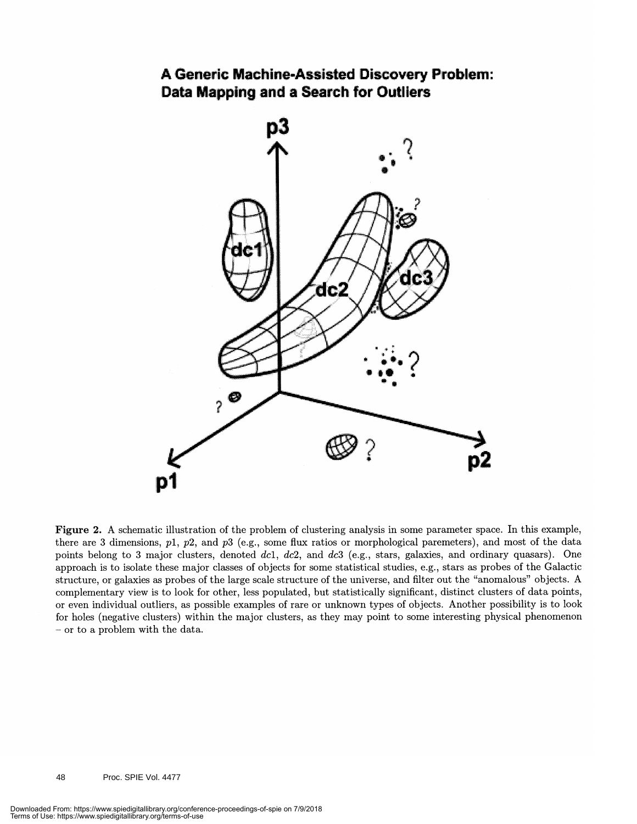### A Generic Machine-Assisted Discovery Problem: Data Mapping and a Search for Outliers



Figure 2. A schematic illustration of the problem of clustering analysis in some parameter space. In this example, there are 3 dimensions,  $p1$ ,  $p2$ , and  $p3$  (e.g., some flux ratios or morphological paremeters), and most of the data points belong to 3 major clusters, denoted  $dc1$ ,  $dc2$ , and  $dc3$  (e.g., stars, galaxies, and ordinary quasars). One approach is to isolate these major classes of objects for some statistical studies, e.g., stars as probes of the Galactic structure, or galaxies as probes of the large scale structure of the universe, and filter out the "anomalous" objects. A complementary view is to look for other, less populated, but statistically significant, distinct clusters of data points, or even individual outliers, as possible examples of rare or unknown types of objects. Another possibility is to look for holes (negative clusters) within the major clusters, as they may point to some interesting physical phenomenon — or to a problem with the data.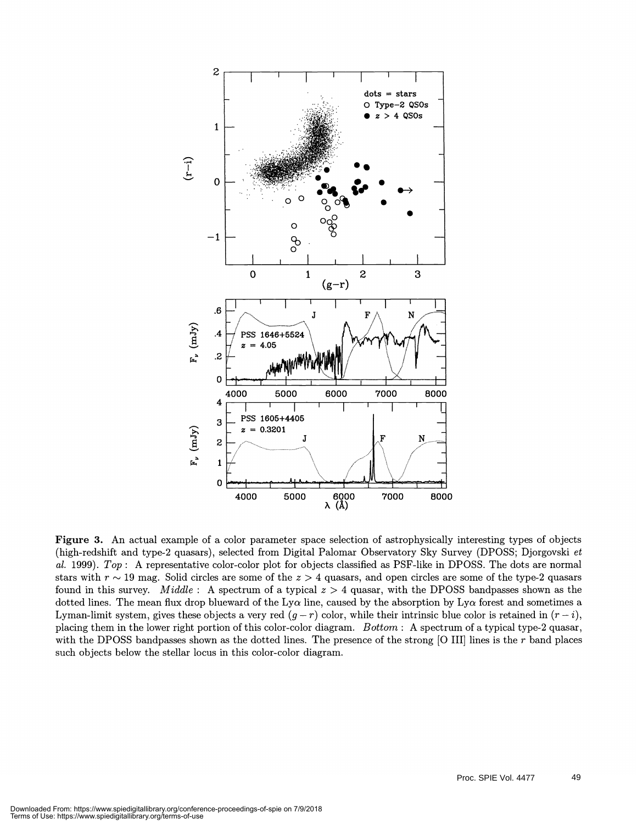

Figure 3. An actual example of a color parameter space selection of astrophysically interesting types of objects (high-redshift and type-2 quasars), selected from Digital Palomar Observatory Sky Survey (DPOSS; Djorgovski et al. 1999).  $Top: A$  representative color-color plot for objects classified as PSF-like in DPOSS. The dots are normal stars with  $r \sim 19$  mag. Solid circles are some of the  $z > 4$  quasars, and open circles are some of the type-2 quasars found in this survey. Middle : A spectrum of a typical  $z > 4$  quasar, with the DPOSS bandpasses shown as the dotted lines. The mean flux drop blueward of the Ly $\alpha$  line, caused by the absorption by Ly $\alpha$  forest and sometimes a Lyman-limit system, gives these objects a very red  $(g - r)$  color, while their intrinsic blue color is retained in  $(r - i)$ , placing them in the lower right portion of this color-color diagram. Bottom : A spectrum of a typical type-2 quasar, with the DPOSS bandpasses shown as the dotted lines. The presence of the strong [O III] lines is the r band places such objects below the stellar locus in this color-color diagram.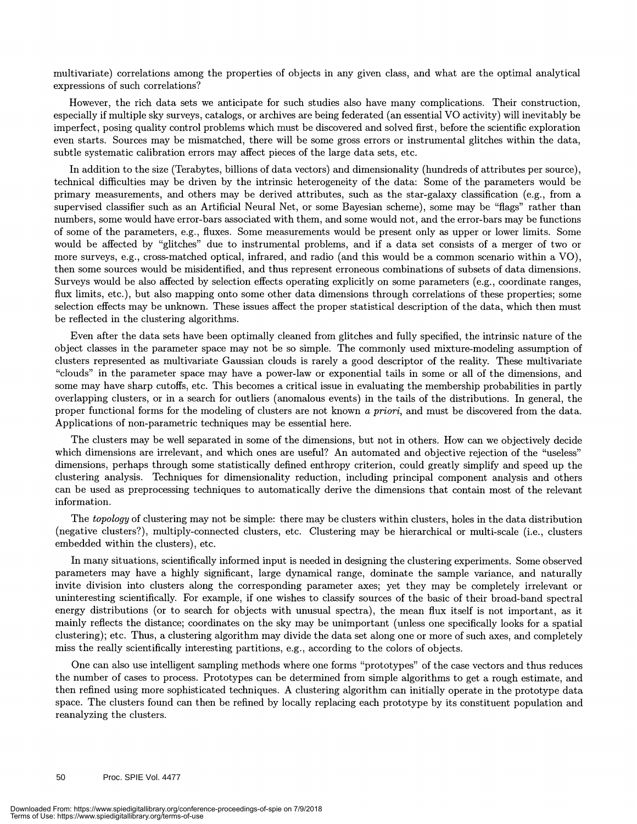multivariate) correlations among the properties of objects in any given class, and what are the optimal analytical expressions of such correlations?

However, the rich data sets we anticipate for such studies also have many complications. Their construction, especially if multiple sky surveys, catalogs, or archives are being federated (an essential VO activity) will inevitably be imperfect, posing quality control problems which must be discovered and solved first, before the scientific exploration even starts. Sources may be mismatched, there will be some gross errors or instrumental glitches within the data, subtle systematic calibration errors may affect pieces of the large data sets, etc.

In addition to the size (Terabytes, billions of data vectors) and dimensionality (hundreds of attributes per source), technical difficulties may be driven by the intrinsic heterogeneity of the data: Some of the parameters would be primary measurements, and others may be derived attributes, such as the star-galaxy classification (e.g., from a supervised classifier such as an Artificial Neural Net, or some Bayesian scheme), some may be "flags" rather than numbers, some would have error-bars associated with them, and some would not, and the error-bars may be functions of some of the parameters, e.g., fluxes. Some measurements would be present only as upper or lower limits. Some would be affected by "glitches" due to instrumental problems, and if a data set consists of a merger of two or more surveys, e.g. , cross-matched optical, infrared, and radio (and this would be a common scenario within a VO), then some sources would be misidentified, and thus represent erroneous combinations of subsets of data dimensions. Surveys would be also affected by selection effects operating explicitly on some parameters (e.g., coordinate ranges, flux limits, etc.) , but also mapping onto some other data dimensions through correlations of these properties; some selection effects may be unknown. These issues affect the proper statistical description of the data, which then must be reflected in the clustering algorithms.

Even after the data sets have been optimally cleaned from glitches and fully specified, the intrinsic nature of the object classes in the parameter space may not be so simple. The commonly used mixture-modeling assumption of clusters represented as multivariate Gaussian clouds is rarely a good descriptor of the reality. These multivariate "clouds" in the parameter space may have a power-law or exponential tails in some or all of the dimensions, and some may have sharp cutoffs, etc. This becomes a critical issue in evaluating the membership probabilities in partly overlapping clusters, or in a search for outliers (anomalous events) in the tails of the distributions. In general, the proper functional forms for the modeling of clusters are not known a priori, and must be discovered from the data. Applications of non-parametric techniques may be essential here.

The clusters may be well separated in some of the dimensions, but not in others. How can we objectively decide which dimensions are irrelevant, and which ones are useful? An automated and objective rejection of the "useless" dimensions, perhaps through some statistically defined enthropy criterion, could greatly simplify and speed up the clustering analysis. Techniques for dimensionality reduction, including principal component analysis and others can be used as preprocessing techniques to automatically derive the dimensions that contain most of the relevant information.

The *topology* of clustering may not be simple: there may be clusters within clusters, holes in the data distribution (negative clusters?) , multiply-connected clusters, etc. Clustering may be hierarchical or multi-scale (i.e. , clusters embedded within the clusters), etc.

In many situations, scientifically informed input is needed in designing the clustering experiments. Some observed parameters may have a highly significant, large dynamical range, dominate the sample variance, and naturally invite division into clusters along the corresponding parameter axes; yet they may be completely irrelevant or uninteresting scientifically. For example, if one wishes to classify sources of the basic of their broad-band spectral energy distributions (or to search for objects with unusual spectra), the mean flux itself is not important, as it mainly reflects the distance; coordinates on the sky may be unimportant (unless one specifically looks for a spatial clustering) ; etc. Thus, a clustering algorithm may divide the data set along one or more of such axes, and completely miss the really scientifically interesting partitions, e.g., according to the colors of objects.

One can also use intelligent sampling methods where one forms "prototypes" of the case vectors and thus reduces the number of cases to process. Prototypes can be determined from simple algorithms to get a rough estimate, and then refined using more sophisticated techniques. A clustering algorithm can initially operate in the prototype data space. The clusters found can then be refined by locally replacing each prototype by its constituent population and reanalyzing the clusters.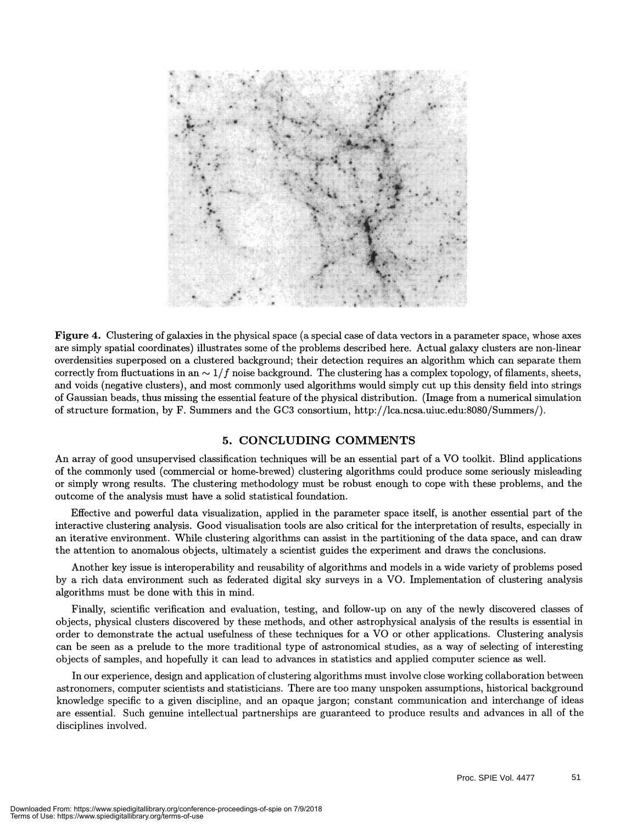

Figure 4. Clustering of galaxies in the physical space (a special case of data vectors in a parameter space, whose axes are simply spatial coordinates) illustrates some of the problems described here. Actual galaxy clusters are non-linear overdensities superposed on a clustered background; their detection requires an algorithm which can separate them correctly from fluctuations in an  $\sim 1/f$  noise background. The clustering has a complex topology, of filaments, sheets, and voids (negative clusters), and most commonly used algorithms would simply cut up this density field into strings of Gaussian beads, thus missing the essential feature of the physical distribution. (Image from a numerical simulation of structure formation, by F. Summers and the GC3 consortium, http://lca.ncsa.uiuc.edu:8080/Summers/).

#### 5. CONCLUDING COMMENTS

An array of good unsupervised classification techniques will be an essential part of a VO toolkit. Blind applications of the commonly used (commercial or home-brewed) clustering algorithms could produce some seriously misleading or simply wrong results. The clustering methodology must be robust enough to cope with these problems, and the outcome of the analysis must have a solid statistical foundation.

Effective and powerful data visualization, applied in the parameter space itself, is another essential part of the interactive clustering analysis. Good visualisation tools are also critical for the interpretation of results, especially in an iterative environment. While clustering algorithms can assist in the partitioning of the data space, and can draw the attention to anomalous objects, ultimately a scientist guides the experiment and draws the conclusions.

Another key issue is interoperability and reusability of algorithms and models in a wide variety of problems posed by a rich data environment such as federated digital sky surveys in a VO. Implementation of clustering analysis algorithms must be done with this in mind.

Finally, scientific verification and evaluation, testing, and follow-up on any of the newly discovered classes of objects, physical clusters discovered by these methods, and other astrophysical analysis of the results is essential in order to demonstrate the actual usefulness of these techniques for a VO or other applications. Clustering analysis can be seen as a prelude to the more traditional type of astronomical studies, as a way of selecting of interesting objects of samples, and hopefully it can lead to advances in statistics and applied computer science as well.

In our experience, design and application of clustering algorithms must involve close working collaboration between astronomers, computer scientists and statisticians. There are too many unspoken assumptions, historical background knowledge specific to a given discipline, and an opaque jargon; constant communication and interchange of ideas are essential. Such genuine intellectual partnerships are guaranteed to produce results and advances in all of the disciplines involved.